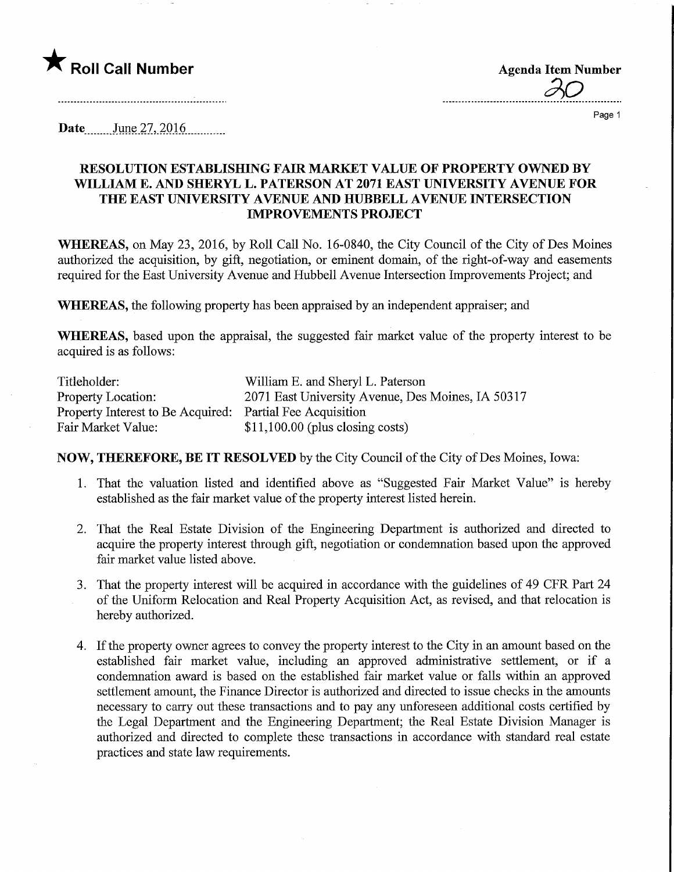

**Agenda Item Number** 

Page 1

**Date** June 27, 2016

## RESOLUTION ESTABLISHING FAIR MARKET VALUE OF PROPERTY OWNED BY WILLIAM E. AND SHERYL L. PATERSON AT 2071 EAST UNIVERSITY AVENUE FOR THE EAST UNIVERSITY AVENUE AND HUBBELL AVENUE INTERSECTION IMPROVEMENTS PROJECT

WHEREAS, on May 23, 2016, by Roll Call No. 16-0840, the City Council of the City of Des Moines authorized the acquisition, by gift, negotiation, or eminent domain, of the right-of-way and easements required for the East University Avenue and Hubbell Avenue Intersection Improvements Project; and

WHEREAS, the following property has been appraised by an independent appraiser; and

WHEREAS, based upon the appraisal, the suggested fair market value of the property interest to be acquired is as follows:

| Titleholder:                                              | William E. and Sheryl L. Paterson                 |
|-----------------------------------------------------------|---------------------------------------------------|
| <b>Property Location:</b>                                 | 2071 East University Avenue, Des Moines, IA 50317 |
| Property Interest to Be Acquired: Partial Fee Acquisition |                                                   |
| Fair Market Value:                                        | $$11,100.00$ (plus closing costs)                 |

NOW, THEREFORE, BE IT RESOLVED by the City Council of the City of Des Moines, Iowa:

- 1. That the valuation listed and identified above as "Suggested Fair Market Value" is hereby established as the fair market value of the property interest listed herein.
- 2. That the Real Estate Division of the Engineering Department is authorized and directed to acquire the property interest through gift, negotiation or condemnation based upon the approved fair market value listed above.
- 3. That the property interest will be acquired in accordance with the guidelines of 49 CFR Part 24 of the Uniform Relocation and Real Property Acquisition Act, as revised, and that relocation is hereby authorized.
- 4. If the property owner agrees to convey the property interest to the City in an amount based on the established fair market value, including an approved administrative settlement, or if a condemnation award is based on the established fair market value or falls within an approved settlement amount, the Finance Director is authorized and directed to issue checks in the amounts necessary to carry out these transactions and to pay any unforeseen additional costs certified by the Legal Department and the Engineering Department; the Real Estate Division Manager is authorized and directed to complete these transactions in accordance with standard real estate practices and state law requirements.